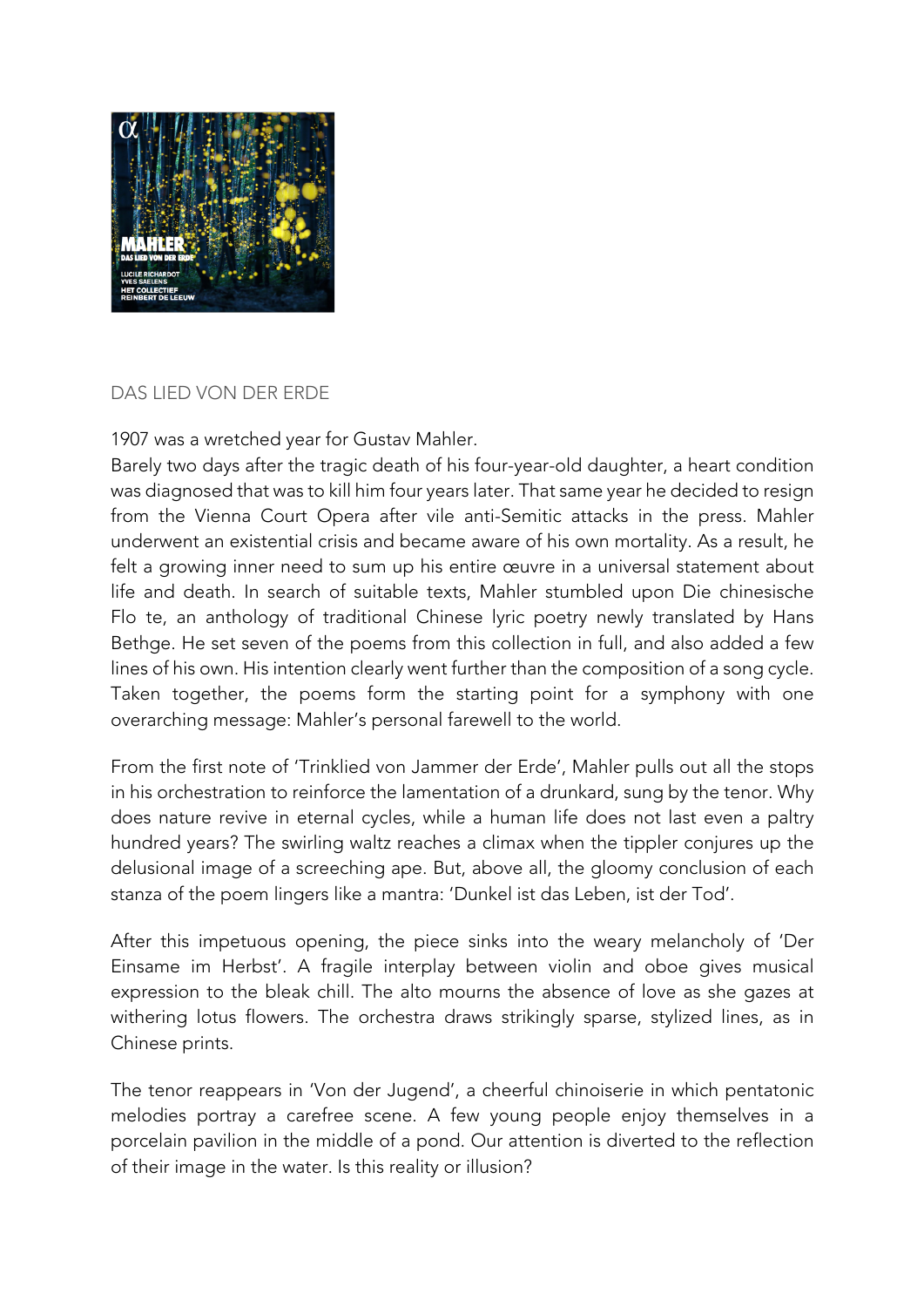

## DAS LIED VON DER ERDE

1907 was a wretched year for Gustav Mahler.

Barely two days after the tragic death of his four-year-old daughter, a heart condition was diagnosed that was to kill him four years later. That same year he decided to resign from the Vienna Court Opera after vile anti-Semitic attacks in the press. Mahler underwent an existential crisis and became aware of his own mortality. As a result, he felt a growing inner need to sum up his entire œuvre in a universal statement about life and death. In search of suitable texts, Mahler stumbled upon Die chinesische Flo te, an anthology of traditional Chinese lyric poetry newly translated by Hans Bethge. He set seven of the poems from this collection in full, and also added a few lines of his own. His intention clearly went further than the composition of a song cycle. Taken together, the poems form the starting point for a symphony with one overarching message: Mahler's personal farewell to the world.

From the first note of 'Trinklied von Jammer der Erde', Mahler pulls out all the stops in his orchestration to reinforce the lamentation of a drunkard, sung by the tenor. Why does nature revive in eternal cycles, while a human life does not last even a paltry hundred years? The swirling waltz reaches a climax when the tippler conjures up the delusional image of a screeching ape. But, above all, the gloomy conclusion of each stanza of the poem lingers like a mantra: 'Dunkel ist das Leben, ist der Tod'.

After this impetuous opening, the piece sinks into the weary melancholy of 'Der Einsame im Herbst'. A fragile interplay between violin and oboe gives musical expression to the bleak chill. The alto mourns the absence of love as she gazes at withering lotus flowers. The orchestra draws strikingly sparse, stylized lines, as in Chinese prints.

The tenor reappears in 'Von der Jugend', a cheerful chinoiserie in which pentatonic melodies portray a carefree scene. A few young people enjoy themselves in a porcelain pavilion in the middle of a pond. Our attention is diverted to the reflection of their image in the water. Is this reality or illusion?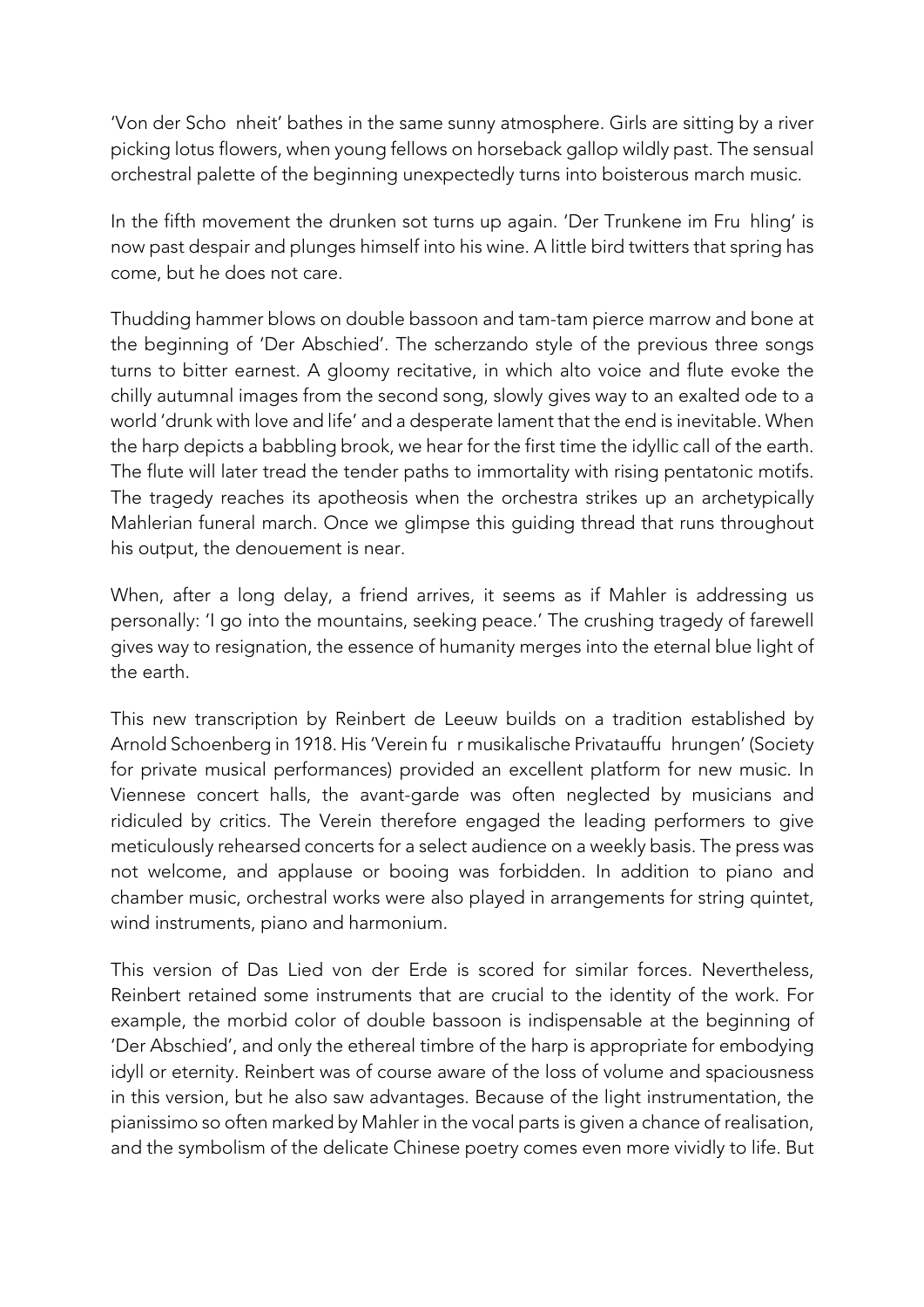'Von der Scho nheit' bathes in the same sunny atmosphere. Girls are sitting by a river picking lotus flowers, when young fellows on horseback gallop wildly past. The sensual orchestral palette of the beginning unexpectedly turns into boisterous march music.

In the fifth movement the drunken sot turns up again. 'Der Trunkene im Fru hling' is now past despair and plunges himself into his wine. A little bird twitters that spring has come, but he does not care.

Thudding hammer blows on double bassoon and tam-tam pierce marrow and bone at the beginning of 'Der Abschied'. The scherzando style of the previous three songs turns to bitter earnest. A gloomy recitative, in which alto voice and flute evoke the chilly autumnal images from the second song, slowly gives way to an exalted ode to a world 'drunk with love and life' and a desperate lament that the end is inevitable. When the harp depicts a babbling brook, we hear for the first time the idyllic call of the earth. The flute will later tread the tender paths to immortality with rising pentatonic motifs. The tragedy reaches its apotheosis when the orchestra strikes up an archetypically Mahlerian funeral march. Once we glimpse this guiding thread that runs throughout his output, the denouement is near.

When, after a long delay, a friend arrives, it seems as if Mahler is addressing us personally: 'I go into the mountains, seeking peace.' The crushing tragedy of farewell gives way to resignation, the essence of humanity merges into the eternal blue light of the earth.

This new transcription by Reinbert de Leeuw builds on a tradition established by Arnold Schoenberg in 1918. His 'Verein fur musikalische Privatauffu hrungen' (Society for private musical performances) provided an excellent platform for new music. In Viennese concert halls, the avant-garde was often neglected by musicians and ridiculed by critics. The Verein therefore engaged the leading performers to give meticulously rehearsed concerts for a select audience on a weekly basis. The press was not welcome, and applause or booing was forbidden. In addition to piano and chamber music, orchestral works were also played in arrangements for string quintet, wind instruments, piano and harmonium.

This version of Das Lied von der Erde is scored for similar forces. Nevertheless, Reinbert retained some instruments that are crucial to the identity of the work. For example, the morbid color of double bassoon is indispensable at the beginning of 'Der Abschied', and only the ethereal timbre of the harp is appropriate for embodying idyll or eternity. Reinbert was of course aware of the loss of volume and spaciousness in this version, but he also saw advantages. Because of the light instrumentation, the pianissimo so often marked by Mahler in the vocal parts is given a chance of realisation, and the symbolism of the delicate Chinese poetry comes even more vividly to life. But